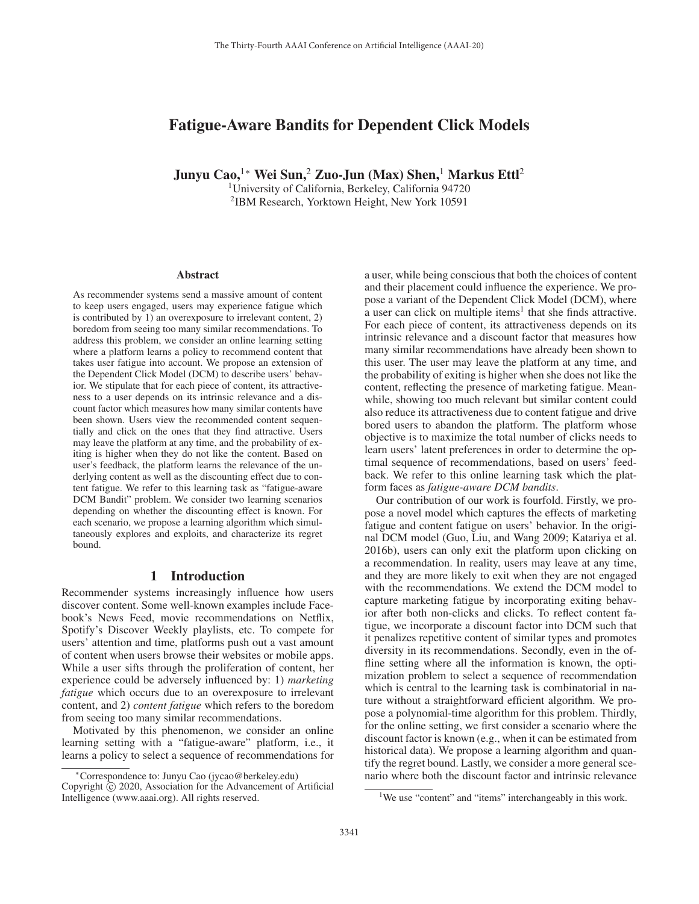# Fatigue-Aware Bandits for Dependent Click Models

Junyu Cao,<sup>1∗</sup> Wei Sun,<sup>2</sup> Zuo-Jun (Max) Shen,<sup>1</sup> Markus Ettl<sup>2</sup>

1University of California, Berkeley, California 94720 2IBM Research, Yorktown Height, New York 10591

#### Abstract

As recommender systems send a massive amount of content to keep users engaged, users may experience fatigue which is contributed by 1) an overexposure to irrelevant content, 2) boredom from seeing too many similar recommendations. To address this problem, we consider an online learning setting where a platform learns a policy to recommend content that takes user fatigue into account. We propose an extension of the Dependent Click Model (DCM) to describe users' behavior. We stipulate that for each piece of content, its attractiveness to a user depends on its intrinsic relevance and a discount factor which measures how many similar contents have been shown. Users view the recommended content sequentially and click on the ones that they find attractive. Users may leave the platform at any time, and the probability of exiting is higher when they do not like the content. Based on user's feedback, the platform learns the relevance of the underlying content as well as the discounting effect due to content fatigue. We refer to this learning task as "fatigue-aware DCM Bandit" problem. We consider two learning scenarios depending on whether the discounting effect is known. For each scenario, we propose a learning algorithm which simultaneously explores and exploits, and characterize its regret bound.

# 1 Introduction

Recommender systems increasingly influence how users discover content. Some well-known examples include Facebook's News Feed, movie recommendations on Netflix, Spotify's Discover Weekly playlists, etc. To compete for users' attention and time, platforms push out a vast amount of content when users browse their websites or mobile apps. While a user sifts through the proliferation of content, her experience could be adversely influenced by: 1) *marketing fatigue* which occurs due to an overexposure to irrelevant content, and 2) *content fatigue* which refers to the boredom from seeing too many similar recommendations.

Motivated by this phenomenon, we consider an online learning setting with a "fatigue-aware" platform, i.e., it learns a policy to select a sequence of recommendations for

a user, while being conscious that both the choices of content and their placement could influence the experience. We propose a variant of the Dependent Click Model (DCM), where a user can click on multiple items<sup>1</sup> that she finds attractive. For each piece of content, its attractiveness depends on its intrinsic relevance and a discount factor that measures how many similar recommendations have already been shown to this user. The user may leave the platform at any time, and the probability of exiting is higher when she does not like the content, reflecting the presence of marketing fatigue. Meanwhile, showing too much relevant but similar content could also reduce its attractiveness due to content fatigue and drive bored users to abandon the platform. The platform whose objective is to maximize the total number of clicks needs to learn users' latent preferences in order to determine the optimal sequence of recommendations, based on users' feedback. We refer to this online learning task which the platform faces as *fatigue-aware DCM bandits*.

Our contribution of our work is fourfold. Firstly, we propose a novel model which captures the effects of marketing fatigue and content fatigue on users' behavior. In the original DCM model (Guo, Liu, and Wang 2009; Katariya et al. 2016b), users can only exit the platform upon clicking on a recommendation. In reality, users may leave at any time, and they are more likely to exit when they are not engaged with the recommendations. We extend the DCM model to capture marketing fatigue by incorporating exiting behavior after both non-clicks and clicks. To reflect content fatigue, we incorporate a discount factor into DCM such that it penalizes repetitive content of similar types and promotes diversity in its recommendations. Secondly, even in the offline setting where all the information is known, the optimization problem to select a sequence of recommendation which is central to the learning task is combinatorial in nature without a straightforward efficient algorithm. We propose a polynomial-time algorithm for this problem. Thirdly, for the online setting, we first consider a scenario where the discount factor is known (e.g., when it can be estimated from historical data). We propose a learning algorithm and quantify the regret bound. Lastly, we consider a more general scenario where both the discount factor and intrinsic relevance

<sup>∗</sup>Correspondence to: Junyu Cao (jycao@berkeley.edu) Copyright  $\odot$  2020, Association for the Advancement of Artificial Intelligence (www.aaai.org). All rights reserved.

<sup>&</sup>lt;sup>1</sup>We use "content" and "items" interchangeably in this work.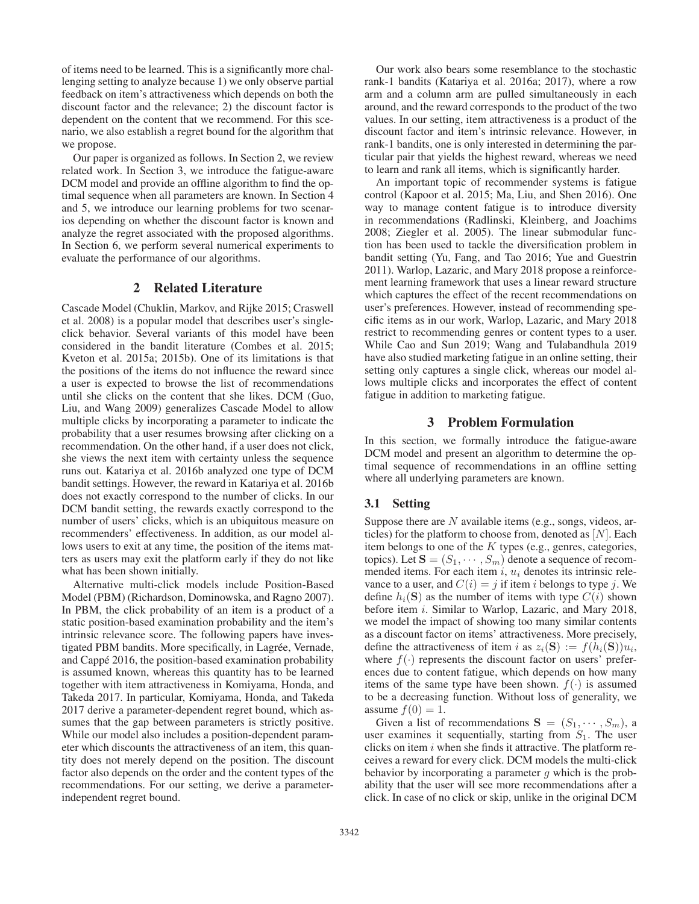of items need to be learned. This is a significantly more challenging setting to analyze because 1) we only observe partial feedback on item's attractiveness which depends on both the discount factor and the relevance; 2) the discount factor is dependent on the content that we recommend. For this scenario, we also establish a regret bound for the algorithm that we propose.

Our paper is organized as follows. In Section 2, we review related work. In Section 3, we introduce the fatigue-aware DCM model and provide an offline algorithm to find the optimal sequence when all parameters are known. In Section 4 and 5, we introduce our learning problems for two scenarios depending on whether the discount factor is known and analyze the regret associated with the proposed algorithms. In Section 6, we perform several numerical experiments to evaluate the performance of our algorithms.

## 2 Related Literature

Cascade Model (Chuklin, Markov, and Rijke 2015; Craswell et al. 2008) is a popular model that describes user's singleclick behavior. Several variants of this model have been considered in the bandit literature (Combes et al. 2015; Kveton et al. 2015a; 2015b). One of its limitations is that the positions of the items do not influence the reward since a user is expected to browse the list of recommendations until she clicks on the content that she likes. DCM (Guo, Liu, and Wang 2009) generalizes Cascade Model to allow multiple clicks by incorporating a parameter to indicate the probability that a user resumes browsing after clicking on a recommendation. On the other hand, if a user does not click, she views the next item with certainty unless the sequence runs out. Katariya et al. 2016b analyzed one type of DCM bandit settings. However, the reward in Katariya et al. 2016b does not exactly correspond to the number of clicks. In our DCM bandit setting, the rewards exactly correspond to the number of users' clicks, which is an ubiquitous measure on recommenders' effectiveness. In addition, as our model allows users to exit at any time, the position of the items matters as users may exit the platform early if they do not like what has been shown initially.

Alternative multi-click models include Position-Based Model (PBM) (Richardson, Dominowska, and Ragno 2007). In PBM, the click probability of an item is a product of a static position-based examination probability and the item's intrinsic relevance score. The following papers have investigated PBM bandits. More specifically, in Lagrée, Vernade, and Cappé 2016, the position-based examination probability is assumed known, whereas this quantity has to be learned together with item attractiveness in Komiyama, Honda, and Takeda 2017. In particular, Komiyama, Honda, and Takeda 2017 derive a parameter-dependent regret bound, which assumes that the gap between parameters is strictly positive. While our model also includes a position-dependent parameter which discounts the attractiveness of an item, this quantity does not merely depend on the position. The discount factor also depends on the order and the content types of the recommendations. For our setting, we derive a parameterindependent regret bound.

Our work also bears some resemblance to the stochastic rank-1 bandits (Katariya et al. 2016a; 2017), where a row arm and a column arm are pulled simultaneously in each around, and the reward corresponds to the product of the two values. In our setting, item attractiveness is a product of the discount factor and item's intrinsic relevance. However, in rank-1 bandits, one is only interested in determining the particular pair that yields the highest reward, whereas we need to learn and rank all items, which is significantly harder.

An important topic of recommender systems is fatigue control (Kapoor et al. 2015; Ma, Liu, and Shen 2016). One way to manage content fatigue is to introduce diversity in recommendations (Radlinski, Kleinberg, and Joachims 2008; Ziegler et al. 2005). The linear submodular function has been used to tackle the diversification problem in bandit setting (Yu, Fang, and Tao 2016; Yue and Guestrin 2011). Warlop, Lazaric, and Mary 2018 propose a reinforcement learning framework that uses a linear reward structure which captures the effect of the recent recommendations on user's preferences. However, instead of recommending specific items as in our work, Warlop, Lazaric, and Mary 2018 restrict to recommending genres or content types to a user. While Cao and Sun 2019; Wang and Tulabandhula 2019 have also studied marketing fatigue in an online setting, their setting only captures a single click, whereas our model allows multiple clicks and incorporates the effect of content fatigue in addition to marketing fatigue.

# 3 Problem Formulation

In this section, we formally introduce the fatigue-aware DCM model and present an algorithm to determine the optimal sequence of recommendations in an offline setting where all underlying parameters are known.

## 3.1 Setting

Suppose there are  $N$  available items (e.g., songs, videos, articles) for the platform to choose from, denoted as  $[N]$ . Each item belongs to one of the  $K$  types (e.g., genres, categories, topics). Let  $S = (S_1, \dots, S_m)$  denote a sequence of recommended items. For each item  $i, u_i$  denotes its intrinsic relevance to a user, and  $C(i) = j$  if item i belongs to type j. We define  $h_i(\mathbf{S})$  as the number of items with type  $C(i)$  shown before item *i*. Similar to Warlop, Lazaric, and Mary 2018, we model the impact of showing too many similar contents as a discount factor on items' attractiveness. More precisely, define the attractiveness of item i as  $z_i(\mathbf{S}) := f(h_i(\mathbf{S}))u_i$ , where  $f(\cdot)$  represents the discount factor on users' preferences due to content fatigue, which depends on how many items of the same type have been shown.  $f(\cdot)$  is assumed to be a decreasing function. Without loss of generality, we assume  $f(0) = 1$ .

Given a list of recommendations  $S = (S_1, \dots, S_m)$ , a user examines it sequentially, starting from  $S_1$ . The user clicks on item  $i$  when she finds it attractive. The platform receives a reward for every click. DCM models the multi-click behavior by incorporating a parameter  $g$  which is the probability that the user will see more recommendations after a click. In case of no click or skip, unlike in the original DCM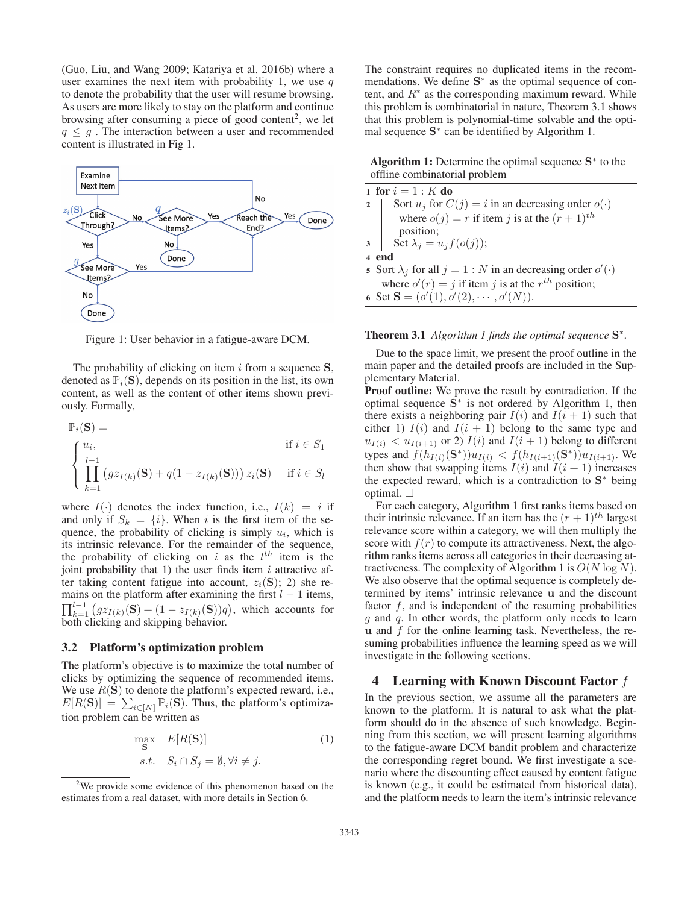(Guo, Liu, and Wang 2009; Katariya et al. 2016b) where a user examines the next item with probability 1, we use  $q$ to denote the probability that the user will resume browsing. As users are more likely to stay on the platform and continue browsing after consuming a piece of good content<sup>2</sup>, we let  $q \leq q$ . The interaction between a user and recommended content is illustrated in Fig 1.



Figure 1: User behavior in a fatigue-aware DCM.

The probability of clicking on item i from a sequence **<sup>S</sup>**, denoted as  $\mathbb{P}_i(S)$ , depends on its position in the list, its own content, as well as the content of other items shown previously. Formally,

$$
\mathbb{P}_{i}(\mathbf{S}) = \qquad \qquad \text{if } i \in S_1
$$
\n
$$
\left\{ \prod_{k=1}^{u_i} \left( g z_{I(k)}(\mathbf{S}) + q(1 - z_{I(k)}(\mathbf{S})) \right) z_i(\mathbf{S}) \quad \text{if } i \in S_l \right\}
$$

where  $I(\cdot)$  denotes the index function, i.e.,  $I(k) = i$  if and only if  $S_k = \{i\}$ . When i is the first item of the sequence, the probability of clicking is simply  $u_i$ , which is its intrinsic relevance. For the remainder of the sequence, the probability of clicking on i as the  $l^{th}$  item is the iont probability that 1) the user finds item i attractive afjoint probability that 1) the user finds item  $i$  attractive after taking content fatigue into account,  $z_i(\mathbf{S})$ ; 2) she remains on the platform after examining the first  $l - 1$  items,  $\prod_{k=1}^{l-1} (gz_{I(k)}(\mathbf{S}) + (1 - z_{I(k)}(\mathbf{S}))q)$ , which accounts for both clicking and skinning behavior both clicking and skipping behavior.

### 3.2 Platform's optimization problem

The platform's objective is to maximize the total number of clicks by optimizing the sequence of recommended items. We use  $R(S)$  to denote the platform's expected reward, i.e.,  $E[R(S)] = \sum_{i \in [N]} \mathbb{P}_i(S)$ . Thus, the platform's optimization problem can be written as

$$
\max_{\mathbf{S}} E[R(\mathbf{S})]
$$
  
s.t.  $S_i \cap S_j = \emptyset, \forall i \neq j.$  (1)

The constraint requires no duplicated items in the recommendations. We define **S**<sup>∗</sup> as the optimal sequence of content, and  $R^*$  as the corresponding maximum reward. While this problem is combinatorial in nature, Theorem 3.1 shows that this problem is polynomial-time solvable and the optimal sequence **S**<sup>∗</sup> can be identified by Algorithm 1.

Algorithm 1: Determine the optimal sequence **S**<sup>∗</sup> to the offline combinatorial problem

1 for  $i = 1: K$  do<br>2 Sort  $u_i$  for C Sort  $u_i$  for  $C(j) = i$  in an decreasing order  $o(\cdot)$ where  $o(j) = r$  if item j is at the  $(r + 1)^{th}$ position;

$$
3 \quad \int \ \det \lambda_j = u_j f(o(j));
$$

- 4 end
- 5 Sort  $\lambda_j$  for all  $j = 1 : N$  in an decreasing order  $o'(\cdot)$ <br>where  $o'(s) = i$  if item *i* is at the *r*<sup>th</sup> nosition. where  $o'(r) = j$  if item j is at the r<sup>th</sup> position;<br>et  $S = (o'(1) \ o'(2) \ \cdots \ o'(N))$
- 6 Set **S** =  $(o'(1), o'(2), \cdots, o'(N))$ .

#### Theorem 3.1 *Algorithm 1 finds the optimal sequence* **S**∗*.*

Due to the space limit, we present the proof outline in the main paper and the detailed proofs are included in the Supplementary Material.

Proof outline: We prove the result by contradiction. If the optimal sequence **S**<sup>∗</sup> is not ordered by Algorithm 1, then there exists a neighboring pair  $I(i)$  and  $I(i + 1)$  such that either 1)  $I(i)$  and  $I(i + 1)$  belong to the same type and  $u_{I(i)} < u_{I(i+1)}$  or 2)  $I(i)$  and  $I(i+1)$  belong to different types and  $f(h_{I(i)}(S^*))u_{I(i)} < f(h_{I(i+1)}(S^*))u_{I(i+1)}$ . We then show that swapping items  $I(i)$  and  $I(i + 1)$  increases the expected reward, which is a contradiction to **S**<sup>∗</sup> being optimal.  $\square$ 

For each category, Algorithm 1 first ranks items based on their intrinsic relevance. If an item has the  $(r + 1)^{th}$  largest relevance score within a category, we will then multiply the score with  $f(r)$  to compute its attractiveness. Next, the algorithm ranks items across all categories in their decreasing attractiveness. The complexity of Algorithm 1 is  $O(N \log N)$ . We also observe that the optimal sequence is completely determined by items' intrinsic relevance **u** and the discount factor f, and is independent of the resuming probabilities  $g$  and  $q$ . In other words, the platform only needs to learn  $u$  and  $f$  for the online learning task. Nevertheless, the resuming probabilities influence the learning speed as we will investigate in the following sections.

### 4 Learning with Known Discount Factor  $f$

In the previous section, we assume all the parameters are known to the platform. It is natural to ask what the platform should do in the absence of such knowledge. Beginning from this section, we will present learning algorithms to the fatigue-aware DCM bandit problem and characterize the corresponding regret bound. We first investigate a scenario where the discounting effect caused by content fatigue is known (e.g., it could be estimated from historical data), and the platform needs to learn the item's intrinsic relevance

<sup>&</sup>lt;sup>2</sup>We provide some evidence of this phenomenon based on the estimates from a real dataset, with more details in Section 6.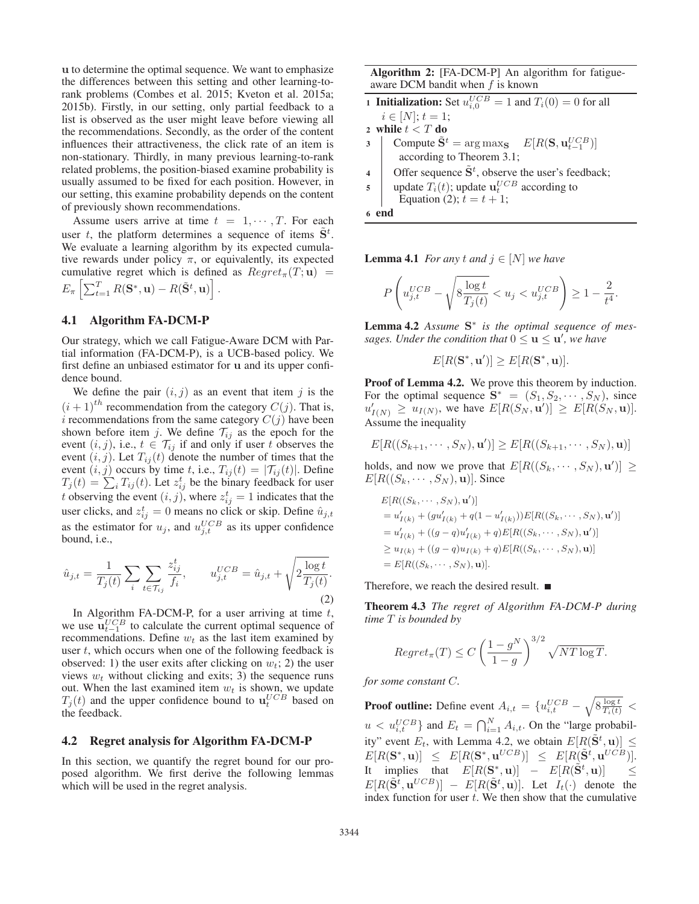**u** to determine the optimal sequence. We want to emphasize the differences between this setting and other learning-torank problems (Combes et al. 2015; Kveton et al. 2015a; 2015b). Firstly, in our setting, only partial feedback to a list is observed as the user might leave before viewing all the recommendations. Secondly, as the order of the content influences their attractiveness, the click rate of an item is non-stationary. Thirdly, in many previous learning-to-rank related problems, the position-biased examine probability is usually assumed to be fixed for each position. However, in our setting, this examine probability depends on the content of previously shown recommendations.

Assume users arrive at time  $t = 1, \dots, T$ . For each user t, the platform determines a sequence of items  $S<sup>t</sup>$ .<br>We evaluate a learning algorithm by its expected cumula-We evaluate a learning algorithm by its expected cumulative rewards under policy  $\pi$ , or equivalently, its expected cumulative regret which is defined as  $Regret_{\pi}(T; \mathbf{u})$  =  $E_{\pi} \left[ \sum_{t=1}^{T} R(\mathbf{S}^*, \mathbf{u}) - R(\tilde{\mathbf{S}}^t, \mathbf{u}) \right]$ 

# 4.1 Algorithm FA-DCM-P

Our strategy, which we call Fatigue-Aware DCM with Partial information (FA-DCM-P), is a UCB-based policy. We first define an unbiased estimator for **u** and its upper confidence bound.

We define the pair  $(i, j)$  as an event that item j is the  $(i + 1)<sup>th</sup>$  recommendation from the category  $C(j)$ . That is, i recommendations from the same category  $C(j)$  have been i recommendations from the same category  $C(j)$  have been<br>shown before item i We define  $T_{ij}$  as the enoch for the shown before item j. We define  $\mathcal{T}_{ij}$  as the epoch for the event  $(i, j)$  i.e.  $t \in \mathcal{T}_{ij}$  if and only if user t observes the event  $(i, j)$ , i.e.,  $t \in \mathcal{T}_{ij}$  if and only if user t observes the event  $(i, j)$ . Let  $T_{ij}(t)$  denote the number of times that the event  $(i, j)$ . Let  $T_{ij}(t)$  denote the number of times that the event  $(i, j)$  occurs by time t i.e.  $T_{ij}(t) = |T_{ij}(t)|$ . Define event  $(i, j)$  occurs by time t, i.e.,  $T_{ij}(t) = |\mathcal{T}_{ij}(t)|$ . Define  $T_j(t) = \sum_i T_{ij}(t)$ . Let  $z_{ij}^t$  be the binary feedback for user<br>t observing the event  $(i, i)$ , where  $z^t = 1$  indicates that the t observing the event  $(i, j)$ , where  $z_{ij}^t = 1$  indicates that the user click and  $z_t^t = 0$  means no click at skin. Define  $\hat{u}_t$ user clicks, and  $z_{ij}^t = 0$  means no click or skip. Define  $\hat{u}_{j,t}$ <br>as the estimator for  $u$ , and  $u^{UCB}$  as its upper confidence as the estimator for  $u_j$ , and  $u_{j,t}^{UCB}$  as its upper confidence<br>bound i.e. bound, i.e.,

$$
\hat{u}_{j,t} = \frac{1}{T_j(t)} \sum_{i} \sum_{t \in \mathcal{T}_{ij}} \frac{z_{ij}^t}{f_i}, \qquad u_{j,t}^{UCB} = \hat{u}_{j,t} + \sqrt{2 \frac{\log t}{T_j(t)}}.
$$
\n(2)

In Algorithm FA-DCM-P, for a user arriving at time  $t$ , we use  $\mathbf{u}_{t-1}^{UCB}$  to calculate the current optimal sequence of recommendations. Define  $w_t$  as the last item examined by recommendations. Define  $w_t$  as the last item examined by user  $t$ , which occurs when one of the following feedback is observed: 1) the user exits after clicking on  $w_t$ ; 2) the user views  $w_t$  without clicking and exits; 3) the sequence runs out. When the last examined item  $w_t$  is shown, we update  $T_j(t)$  and the upper confidence bound to  $\mathbf{u}_t^{UCB}$  based on the feedback the feedback.

#### 4.2 Regret analysis for Algorithm FA-DCM-P

In this section, we quantify the regret bound for our proposed algorithm. We first derive the following lemmas which will be used in the regret analysis.

Algorithm 2: [FA-DCM-P] An algorithm for fatigueaware DCM bandit when  $f$  is known

**1 Initialization:** Set  $u_{i,0}^{UCB} = 1$  and  $T_i(0) = 0$  for all  $i \in [N]: t = 1$ .  $i \in [N]; t = 1;$ 

2 while  $t < T$  do<br>3 Compute  $\tilde{S}^t$ 3 Compute  $S^t$  = arg max $S$   $E[R(S, \mathbf{u}_{t-1}^{UCB})]$ according to Theorem 3.1;

4 Offer sequence  $S^t$ , observe the user's feedback;

5 update  $T_i(t)$ ; update  $\mathbf{u}_t^{UCB}$  according to<br>Equation (2):  $t = t + 1$ : Equation (2);  $t = t + 1$ ;

6 end

**Lemma 4.1** *For any t* and  $j \in [N]$  *we have* 

$$
P\left(u_{j,t}^{UCB} - \sqrt{8\frac{\log t}{T_j(t)}} < u_j < u_{j,t}^{UCB}\right) \ge 1 - \frac{2}{t^4}.
$$

Lemma 4.2 *Assume* **S**<sup>∗</sup> *is the optimal sequence of messages. Under the condition that*  $0 \le u \le u'$ *, we have* 

 $E[R(\mathbf{S}^*, \mathbf{u}')] \geq E[R(\mathbf{S}^*, \mathbf{u})].$ 

Proof of Lemma 4.2. We prove this theorem by induction. For the optimal sequence  $\mathbf{S}^* = (S_1, S_2, \cdots, S_N)$ , since  $u'_{I(N)} \geq u_{I(N)}$ , we have  $E[R(S_N, \mathbf{u}')] \geq E[R(S_N, \mathbf{u})].$ <br>Assume the inequality Assume the inequality

$$
E[R((S_{k+1},\cdots,S_N),\mathbf{u}')]\geq E[R((S_{k+1},\cdots,S_N),\mathbf{u})]
$$

holds, and now we prove that  $E[R((S_k, \dots, S_N), \mathbf{u}')] \ge E[R((S_k, \dots, S_N), \mathbf{u}])$  $E[R((S_k, \cdots, S_N), \mathbf{u})]$ . Since

$$
E[R((S_k, \dots, S_N), \mathbf{u}')] \n= u'_{I(k)} + (gu'_{I(k)} + q(1 - u'_{I(k)}))E[R((S_k, \dots, S_N), \mathbf{u}')] \n= u'_{I(k)} + ((g - q)u'_{I(k)} + q)E[R((S_k, \dots, S_N), \mathbf{u}')] \n\ge u_{I(k)} + ((g - q)u_{I(k)} + q)E[R((S_k, \dots, S_N), \mathbf{u})] \n= E[R((S_k, \dots, S_N), \mathbf{u})].
$$

Therefore, we reach the desired result.

Theorem 4.3 *The regret of Algorithm FA-DCM-P during time* T *is bounded by*

$$
Regret_{\pi}(T) \le C \left(\frac{1 - g^N}{1 - g}\right)^{3/2} \sqrt{NT \log T}.
$$

*for some constant* C*.*

**Proof outline:** Define event  $A_{i,t} = \{u_{i,t}^{UCB} - \sqrt{8 \frac{\log t}{T_i(t)}} \leq$  $u < u_{i,t}^{UCB}$  and  $E_t = \bigcap_{i=1}^{N} A_{i,t}$ . On the "large probabil-<br>i.e." such  $E$  with Large 4.2, we also use  $E[D(\tilde{\alpha}_{i,t})]$ ity" event  $E_t$ , with Lemma 4.2, we obtain  $E[R(\mathbf{S}^t, \mathbf{u})] \leq E[D(\mathbf{S}^* \cdot \mathbf{u})] < E[D(\mathbf{S}^* \cdot \mathbf{u})] \leq E[D(\mathbf{S}^* \cdot \mathbf{u})]$  $E[R(\mathbf{S}^*, \mathbf{u})] \leq E[R(\mathbf{S}^*, \mathbf{u}^{UCB})] \leq E[R(\mathbf{S}^t, \mathbf{u}^{UCB})].$ It implies that  $E[R(S^*, \mathbf{u})] - E[R(S^t, \mathbf{u})] \le$ <br> $E[D(\tilde{S}^t, \mathbf{u})] - E[D(\tilde{S}^t, \mathbf{u})] - \mathbf{I}$  at  $I(\cdot)$  denote the  $E[R(\mathbf{S}^t, \mathbf{u}^{UCB})] - E[R(\mathbf{S}^t, \mathbf{u})]$ . Let  $I_t(\cdot)$  denote the index function for user t. We then show that the cumulative index function for user  $t$ . We then show that the cumulative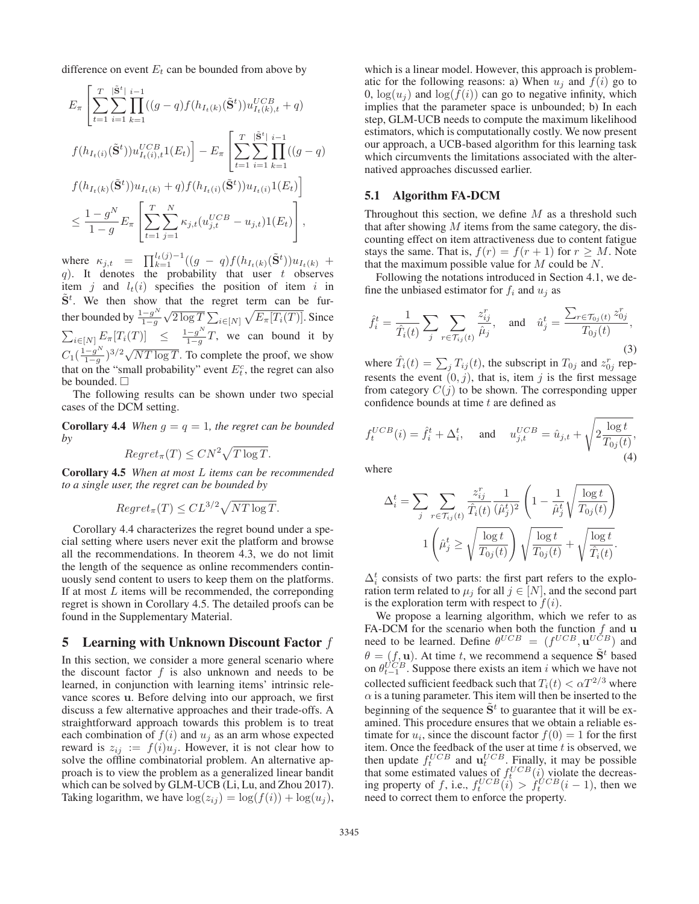difference on event  $E_t$  can be bounded from above by

$$
E_{\pi} \left[ \sum_{t=1}^{T} \sum_{i=1}^{|\tilde{\mathbf{S}}^{t}|} \prod_{k=1}^{i-1} ((g - q) f(h_{I_{t}(k)}(\tilde{\mathbf{S}}^{t})) u_{I_{t}(k),t}^{UCB} + q) \right]
$$
  

$$
f(h_{I_{t}(i)}(\tilde{\mathbf{S}}^{t})) u_{I_{t}(i),t}^{UCB} 1(E_{t}) \right] - E_{\pi} \left[ \sum_{t=1}^{T} \sum_{i=1}^{|\tilde{\mathbf{S}}^{t}|} \prod_{k=1}^{i-1} ((g - q) \cdot f(h_{I_{t}(k)}(\tilde{\mathbf{S}}^{t})) u_{I_{t}(k)} + q) f(h_{I_{t}(i)}(\tilde{\mathbf{S}}^{t})) u_{I_{t}(i)} 1(E_{t}) \right]
$$
  

$$
\leq \frac{1 - g^{N}}{1 - g} E_{\pi} \left[ \sum_{t=1}^{T} \sum_{j=1}^{N} \kappa_{j,t} (u_{j,t}^{UCB} - u_{j,t}) 1(E_{t}) \right],
$$

where  $\kappa_{j,t} = \prod_{k=1}^{t_t(j)-1} ((g - q)f(h_{I_t(k)}(\hat{\mathbf{S}}^t)))$ (a)  $\prod_{k=1}^{N} \binom{y}{k} \binom{y}{k} \binom{y}{k} \binom{y}{k}$ <br>
(a). It denotes the probability that user t observes<br>
tiem i and  $L(i)$  specifies the position of item i in item j and  $l_t(i)$  specifies the position of item i in  $S^t$ . We then show that the regret term can be further bounded by  $\frac{1-g^N}{1-g}$  $\sqrt{2 \log T} \sum_{i \in [N]} \sqrt{E_{\pi}[T_i(T)]}.$  Since  $\sum_{i\in[N]} E_{\pi}[T_i(T)] \leq \frac{1-g^N}{1-g}T$ , we can bound it by  $C_1(\frac{1-g^N}{1-g})^{3/2}\sqrt{NT \log T}$ . To complete the proof, we show that on the "small probability" event  $E_t^c$ , the regret can also be bounded  $\Box$ be bounded.  $\square$ 

The following results can be shown under two special cases of the DCM setting.

**Corollary 4.4** *When*  $g = q = 1$ *, the regret can be bounded by*

$$
Regret_{\pi}(T) \leq CN^2 \sqrt{T \log T}.
$$

Corollary 4.5 *When at most* L *items can be recommended to a single user, the regret can be bounded by*

$$
Regret_{\pi}(T) \leq CL^{3/2} \sqrt{NT \log T}.
$$

Corollary 4.4 characterizes the regret bound under a special setting where users never exit the platform and browse all the recommendations. In theorem 4.3, we do not limit the length of the sequence as online recommenders continuously send content to users to keep them on the platforms. If at most  $L$  items will be recommended, the correponding regret is shown in Corollary 4.5. The detailed proofs can be found in the Supplementary Material.

# 5 Learning with Unknown Discount Factor f

In this section, we consider a more general scenario where the discount factor  $f$  is also unknown and needs to be learned, in conjunction with learning items' intrinsic relevance scores **u**. Before delving into our approach, we first discuss a few alternative approaches and their trade-offs. A straightforward approach towards this problem is to treat each combination of  $f(i)$  and  $u_i$  as an arm whose expected reward is  $z_{ij} := f(i)u_j$ . However, it is not clear how to solve the offline combinatorial problem. An alternative approach is to view the problem as a generalized linear bandit which can be solved by GLM-UCB (Li, Lu, and Zhou 2017). Taking logarithm, we have  $\log(z_{ij}) = \log(f(i)) + \log(u_i)$ ,

which is a linear model. However, this approach is problematic for the following reasons: a) When  $u_i$  and  $f(i)$  go to 0,  $\log(u_i)$  and  $\log(f(i))$  can go to negative infinity, which implies that the parameter space is unbounded; b) In each step, GLM-UCB needs to compute the maximum likelihood estimators, which is computationally costly. We now present our approach, a UCB-based algorithm for this learning task which circumvents the limitations associated with the alternatived approaches discussed earlier.

# 5.1 Algorithm FA-DCM

Throughout this section, we define  $M$  as a threshold such that after showing  $M$  items from the same category, the discounting effect on item attractiveness due to content fatigue stays the same. That is,  $f(r) = f(r + 1)$  for  $r \geq M$ . Note that the maximum possible value for  $M$  could be  $N$ .

Following the notations introduced in Section 4.1, we define the unbiased estimator for  $f_i$  and  $u_j$  as

$$
\hat{f}_i^t = \frac{1}{\hat{T}_i(t)} \sum_j \sum_{r \in \mathcal{T}_{ij}(t)} \frac{z_{ij}^r}{\hat{\mu}_j}, \quad \text{and} \quad \hat{u}_j^t = \frac{\sum_{r \in \mathcal{T}_{0j}(t)} z_{0j}^r}{T_{0j}(t)},\tag{3}
$$

where  $T_i(t) = \sum_j T_{ij}(t)$ , the subscript in  $T_{0j}$  and  $z_{0j}^r$  rep-<br>recents the event  $(0, i)$ , that is, item  $i$  is the first message resents the event  $(0, j)$ , that is, item j is the first message from category  $C(j)$  to be shown. The corresponding upper confidence bounds at time  $t$  are defined as

$$
f_t^{UCB}(i) = \hat{f}_i^t + \Delta_i^t, \quad \text{and} \quad u_{j,t}^{UCB} = \hat{u}_{j,t} + \sqrt{2 \frac{\log t}{T_{0j}(t)}},
$$
\n
$$
\tag{4}
$$

where

$$
\Delta_i^t = \sum_j \sum_{r \in \mathcal{T}_{ij}(t)} \frac{z_{ij}^r}{\hat{T}_i(t)} \frac{1}{(\hat{\mu}_j^t)^2} \left(1 - \frac{1}{\hat{\mu}_j^t} \sqrt{\frac{\log t}{T_{0j}(t)}}\right)
$$

$$
1 \left(\hat{\mu}_j^t \ge \sqrt{\frac{\log t}{T_{0j}(t)}}\right) \sqrt{\frac{\log t}{T_{0j}(t)}} + \sqrt{\frac{\log t}{\hat{T}_i(t)}}.
$$

 $\Delta_i$  consists of two parts: the first part felers to the exploration term related to  $\mu_j$  for all  $j \in [N]$ , and the second part is the exploration term with respect to  $f(i)$  $\Delta_i^t$  consists of two parts: the first part refers to the explois the exploration term with respect to  $f(i)$ .

We propose a learning algorithm, which we refer to as FA-DCM for the scenario when both the function  $f$  and  $\bf{u}$ FA-DCM for the scenario when both the function f and **u** need to be learned. Define  $\theta^{UCB} = (f^{UCB} \mathbf{u}^{UCB})$  and need to be learned. Define  $\theta^{UCB} = (f^{UCB}, \mathbf{u}^{UCB})$  and  $\theta = (f, \mathbf{u})$ . At time t, we recommend a sequence  $\tilde{\mathbf{S}}^t$  based  $\theta = (f, \mathbf{u})$ . At time t, we recommend a sequence  $\mathbf{S}^t$  based on  $\theta^{UCB}$ . Suppose there exists an item i which we have not on  $\theta_{t-1}^{UCB}$ . Suppose there exists an item i which we have not collected sufficient foodback such that  $T(t) \leq eT^{2/3}$  where collected sufficient feedback such that  $T_i(t) < \alpha T^{2/3}$  where  $\alpha$  is a tuning parameter. This item will then be inserted to the beginning of the sequence  $\tilde{S}^t$  to guarantee that it will be examined. This procedure ensures that we obtain a reliable estimate for  $u_i$ , since the discount factor  $f(0) = 1$  for the first<br>item. Once the feedback of the user at time t is observed, we item. Once the feedback of the user at time t is observed, we then undate  $f^{UCB}$  and  $\mathbf{u}^{UCB}$  Finally it may be nossible then update  $f_L^{UCB}$  and  $\mathbf{u}_t^{UCB}$ . Finally, it may be possible<br>that some estimated values of  $f_C^{UCB}(i)$  violate the decreasthat some estimated values of  $f_t^{UCB}(i)$  violate the decreas-<br>ing property of f i.e.  $f_{UCB}(i) > f_{UCB}(i-1)$  then we ing property of f, i.e.,  $f_t^{UCB}(i) > f_t^{UCB}(i-1)$ , then we need to correct them to enforce the property need to correct them to enforce the property.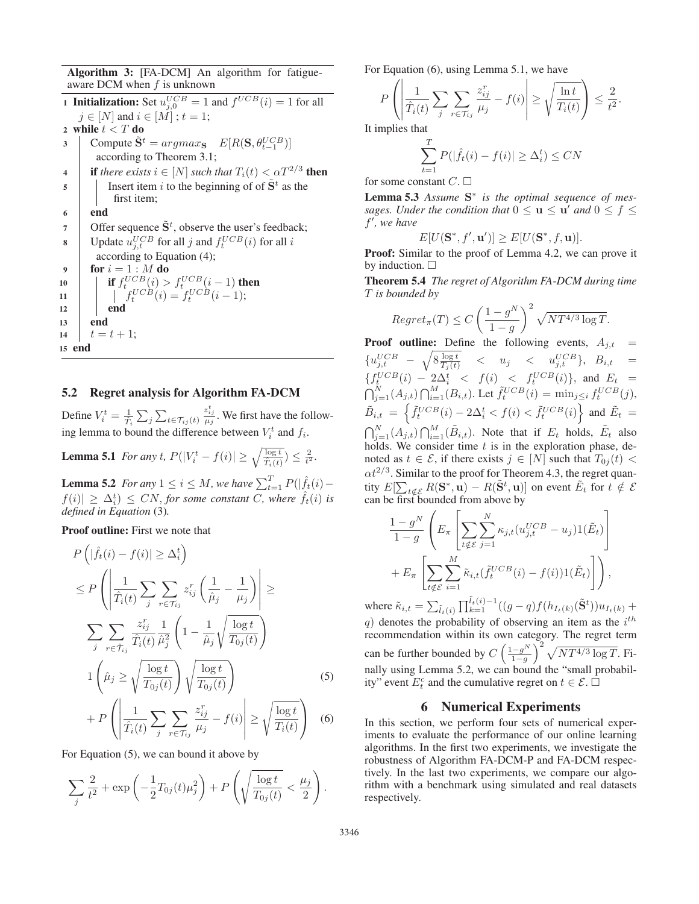Algorithm 3: [FA-DCM] An algorithm for fatigueaware DCM when  $f$  is unknown

**1 Initialization:** Set  $u_{j,0}^{UCB} = 1$  and  $f^{UCB}(i) = 1$  for all  $i \in [N]$  and  $i \in [M]$ ,  $t = 1$ .  $j \in [N]$  and  $i \in [M]$ ;  $t = 1$ ; 2 while  $t < T$  do<br>3 Compute  $\tilde{S}^t$ 3 Compute  $S^t = \arg \max_{S} E[R(S, \theta_{t-1}^{UCB})]$ according to Theorem 3.1; 4 if *there exists*  $i \in [N]$  *such that*  $T_i(t) < \alpha T^{2/3}$  **then**<br>5 insert item *i* to the beginning of of  $\tilde{S}^t$  as the Insert item i to the beginning of of  $\tilde{S}^t$  as the first item; 6 end 7 Offer sequence  $S^t$ , observe the user's feedback; 8 Update  $u_{j,t}^{UCB}$  for all j and  $f_t^{UCB}(i)$  for all i according to Equation (4); 9 for  $i = 1:M$  do<br>  $\downarrow$  if  $f^{UCB}(i) >$ 10 if  $f^{UCB}_t(i) > f^{UCB}_t(i-1)$  then<br>  $f^{UCB}_t(i) = f^{UCB}_t(i-1)$ . 11  $f_t^{UCB}(i) = f_t^{UCB}(i-1);$ <br>12  $12$  end <sup>13</sup> end 14  $t = t + 1;$ <br>15 **end** end

# 5.2 Regret analysis for Algorithm FA-DCM

Define  $V_i^t = \frac{1}{\hat{T}_i}$  $\sum$  $\sum_{t \in \mathcal{T}_{ij}(t)}$  $\frac{z_{ij}^t}{\mu_j}$ . We first have the following lemma to bound the difference between  $V_i^t$  and  $f_i$ .

**Lemma 5.1** *For any t,*  $P(|V_i^t - f(i)| \ge \sqrt{\frac{\log t}{\hat{T}_i(t)}}) \le \frac{2}{t^2}$ .

**Lemma 5.2** For any  $1 \le i \le M$ , we have  $\sum_{t=1}^{T} P(|f_t(i) - f(s)| > \Delta t) \le CM$ , for some constant  $C$  where  $\hat{f}(s)$  is  $f(i)| \geq \Delta_i^t$   $\leq CN$ , for some constant *C*, where  $f_t(i)$  is defined in Equation (3) *defined in Equation* (3)*.*

Proof outline: First we note that

$$
P\left(|\hat{f}_t(i) - f(i)| \geq \Delta_i^t\right)
$$
  
\n
$$
\leq P\left(\left|\frac{1}{\hat{T}_i(t)}\sum_j \sum_{r \in \mathcal{T}_{ij}} z_{ij}^r \left(\frac{1}{\hat{\mu}_j} - \frac{1}{\mu_j}\right)\right| \geq
$$
  
\n
$$
\sum_j \sum_{r \in \hat{\mathcal{T}}_{ij}} \frac{z_{ij}^r}{\hat{T}_i(t)} \frac{1}{\hat{\mu}_j^2} \left(1 - \frac{1}{\hat{\mu}_j} \sqrt{\frac{\log t}{T_{0j}(t)}}\right)
$$
  
\n
$$
1\left(\hat{\mu}_j \geq \sqrt{\frac{\log t}{T_{0j}(t)}}\right) \sqrt{\frac{\log t}{T_{0j}(t)}}\right) \qquad (5)
$$

$$
+ P\left(\left|\frac{1}{\hat{T}_i(t)}\sum_j \sum_{r \in \mathcal{T}_{ij}} \frac{z_{ij}^r}{\mu_j} - f(i)\right| \ge \sqrt{\frac{\log t}{T_i(t)}}\right) \tag{6}
$$

For Equation (5), we can bound it above by

$$
\sum_{j} \frac{2}{t^2} + \exp\left(-\frac{1}{2}T_{0j}(t)\mu_j^2\right) + P\left(\sqrt{\frac{\log t}{T_{0j}(t)}} < \frac{\mu_j}{2}\right).
$$

For Equation (6), using Lemma 5.1, we have

$$
P\left(\left|\frac{1}{\hat{T}_i(t)}\sum_j\sum_{r\in\mathcal{T}_{ij}}\frac{z_{ij}^r}{\mu_j}-f(i)\right|\geq\sqrt{\frac{\ln t}{T_i(t)}}\right)\leq\frac{2}{t^2}.
$$

It implies that

$$
\sum_{t=1}^{T} P(|\hat{f}_t(i) - f(i)| \ge \Delta_i^t) \le CN
$$

for some constant  $C$ .  $\square$ 

Lemma 5.3 *Assume* **S**<sup>∗</sup> *is the optimal sequence of messages. Under the condition that*  $0 \le u \le u'$  *and*  $0 \le f \le$ f *, we have*

$$
E[U(\mathbf{S}^*, f', \mathbf{u}')] \ge E[U(\mathbf{S}^*, f, \mathbf{u})].
$$

 $E[U(\mathbf{S}^*, f', \mathbf{u}')] \ge E[U(\mathbf{S}^*, f, \mathbf{u})].$ <br>**Proof:** Similar to the proof of Lemma 4.2, we can prove it by induction.  $\Box$ 

Theorem 5.4 *The regret of Algorithm FA-DCM during time* T *is bounded by*

$$
Regret_{\pi}(T) \le C \left(\frac{1 - g^N}{1 - g}\right)^2 \sqrt{NT^{4/3} \log T}.
$$

**Proof outline:** Define the following events,  $A_{j,t} = \epsilon ICP$  ${u_{j,t}^{UCB} - \sqrt{8 \frac{\log t}{T_j(t)}} \leq u_j \leq u_{j,t}^{UCB}}$ ,  $B_{i,t} =$  ${f_t^{UCB}(i) - 2\Delta_t^t \leq f(i) \leq f_t^{UCB}(i)}$ , and  $E_t = \bigcap_{j=1}^N (A_{j,t}) \bigcap_{i=1}^M (B_{i,t})$ . Let  $\tilde{f}_t^{UCB}(i) = \min_{j \leq i} f_t^{UCB}(j)$ ,  $j=1$   $\vee$   $\vee$ ,  $\vee$  $\tilde{B}_{i,t} = \left\{ \tilde{f}_t^{UCB}(i) - 2\Delta_i^t < f(i) < \tilde{f}_t^{UCB}(i) \right\}$  $\tilde{B}_{i,t} = \left\{ \tilde{f}_t^{UCB}(i) - 2\Delta_i^t < f(i) < \tilde{f}_t^{UCB}(i) \right\}$  and  $\tilde{E}_t = \bigcap_{i=1}^N (A_{j,t}) \bigcap_{i=1}^M (\tilde{B}_{i,t})$ . Note that if  $E_t$  holds,  $\tilde{E}_t$  also holds. We consider time t is in the exploration phase, denoted as  $t \in \mathcal{E}$  if there exists  $i \in [N]$  such that  $T_{0,i}(t)$  $\bigcap_{i=1}^{M} (B_{i,t})$ . Note that if  $E_t$  holds,  $E_t$  also<br>onsider time t is in the exploration phase denoted as  $t \in \mathcal{E}$ , if there exists  $j \in [N]$  such that  $T_{0j}(t)$  <  $\alpha t^{2/3}$ . Similar to the proof for Theorem 4.3, the regret quantity  $E[\sum_{t \notin \mathcal{E}} R(\mathbf{S}^*, \mathbf{u}) - R(\mathbf{S}^t, \mathbf{u})]$  on event  $E_t$  for  $t \notin \mathcal{E}$ <br>can be first bounded from above by can be first bounded from above by

$$
\frac{1-g^N}{1-g} \left( E_\pi \left[ \sum_{t \notin \mathcal{E}} \sum_{j=1}^N \kappa_{j,t} (u_{j,t}^{UCB} - u_j) \mathbb{1}(\tilde{E}_t) \right] + E_\pi \left[ \sum_{t \notin \mathcal{E}} \sum_{i=1}^M \tilde{\kappa}_{i,t} (\tilde{f}_t^{UCB}(i) - f(i)) \mathbb{1}(\tilde{E}_t) \right] \right),
$$

where  $\tilde{\kappa}_{i,t} = \sum_{\tilde{l}_t(i)} \prod_{k=1}^{l_t(i)-1} ((g-q)f(h_{I_t(k)}(\tilde{S}^t))u_{I_t(k)} +$ q) denotes the probability of observing an item as the  $i^{th}$  recommendation within its own category. The regret term recommendation within its own category. The regret term can be further bounded by  $C\left(\frac{1-g^N}{1-g}\right)^2 \sqrt{NT^{4/3} \log T}$ . Fi-<br>nally using Lamma 5.2 and some bound the "small analytical" nally using Lemma 5.2, we can bound the "small probability" event  $E_t^c$  and the cumulative regret on  $t \in \mathcal{E}$ .  $\Box$ 

### 6 Numerical Experiments

In this section, we perform four sets of numerical experiments to evaluate the performance of our online learning algorithms. In the first two experiments, we investigate the robustness of Algorithm FA-DCM-P and FA-DCM respectively. In the last two experiments, we compare our algorithm with a benchmark using simulated and real datasets respectively.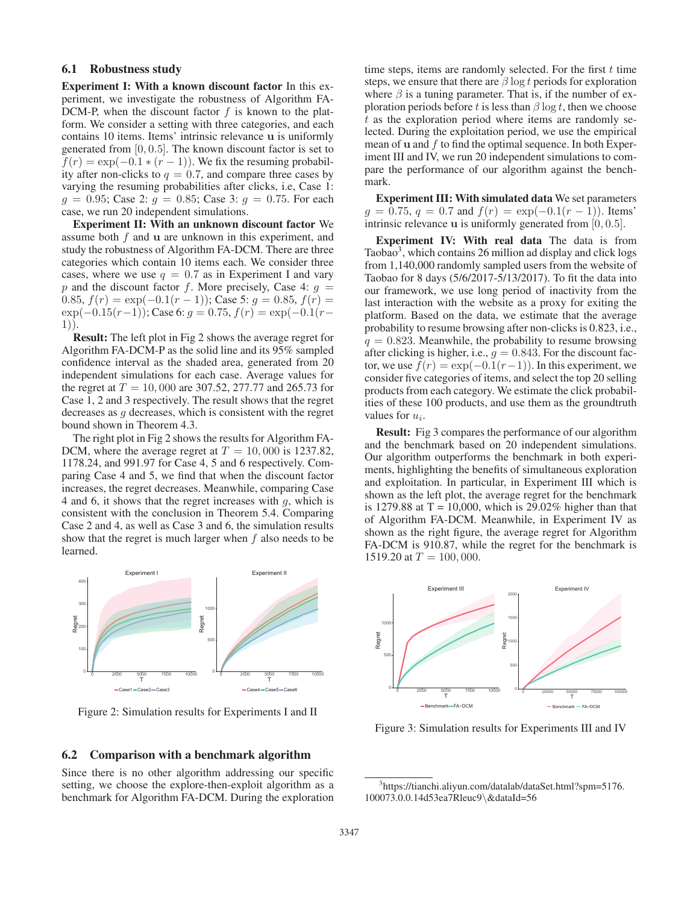# 6.1 Robustness study

Experiment I: With a known discount factor In this experiment, we investigate the robustness of Algorithm FA-DCM-P, when the discount factor  $f$  is known to the platform. We consider a setting with three categories, and each contains 10 items. Items' intrinsic relevance **u** is uniformly generated from  $[0, 0.5]$ . The known discount factor is set to  $f(r) = \exp(-0.1 * (r - 1))$ . We fix the resuming probability after non-clicks to  $q = 0.7$ , and compare three cases by varying the resuming probabilities after clicks, i.e, Case 1:  $g = 0.95$ ; Case 2:  $g = 0.85$ ; Case 3:  $g = 0.75$ . For each case, we run 20 independent simulations.

Experiment II: With an unknown discount factor We assume both f and **<sup>u</sup>** are unknown in this experiment, and study the robustness of Algorithm FA-DCM. There are three categories which contain 10 items each. We consider three cases, where we use  $q = 0.7$  as in Experiment I and vary p and the discount factor f. More precisely, Case 4:  $g =$ 0.85,  $f(r) = \exp(-0.1(r - 1))$ ; Case 5:  $g = 0.85$ ,  $f(r) =$  $\exp(-0.15(r-1))$ ; Case 6:  $g = 0.75$ ,  $f(r) = \exp(-0.1(r-1))$ 1)).

Result: The left plot in Fig 2 shows the average regret for Algorithm FA-DCM-P as the solid line and its 95% sampled confidence interval as the shaded area, generated from 20 independent simulations for each case. Average values for the regret at  $T = 10,000$  are 307.52, 277.77 and 265.73 for Case 1, 2 and 3 respectively. The result shows that the regret decreases as g decreases, which is consistent with the regret bound shown in Theorem 4.3.

The right plot in Fig 2 shows the results for Algorithm FA-DCM, where the average regret at  $T = 10,000$  is 1237.82, 1178.24, and 991.97 for Case 4, 5 and 6 respectively. Comparing Case 4 and 5, we find that when the discount factor increases, the regret decreases. Meanwhile, comparing Case 4 and 6, it shows that the regret increases with  $q$ , which is consistent with the conclusion in Theorem 5.4. Comparing Case 2 and 4, as well as Case 3 and 6, the simulation results show that the regret is much larger when  $f$  also needs to be learned.



Figure 2: Simulation results for Experiments I and II

#### 6.2 Comparison with a benchmark algorithm

Since there is no other algorithm addressing our specific setting, we choose the explore-then-exploit algorithm as a benchmark for Algorithm FA-DCM. During the exploration

time steps, items are randomly selected. For the first  $t$  time steps, we ensure that there are  $\beta \log t$  periods for exploration where  $\beta$  is a tuning parameter. That is, if the number of exploration periods before t is less than  $\beta \log t$ , then we choose t as the exploration period where items are randomly selected. During the exploitation period, we use the empirical mean of **u** and f to find the optimal sequence. In both Experiment III and IV, we run 20 independent simulations to compare the performance of our algorithm against the benchmark.

Experiment III: With simulated data We set parameters  $g = 0.75$ ,  $q = 0.7$  and  $f(r) = \exp(-0.1(r - 1))$ . Items' intrinsic relevance **<sup>u</sup>** is uniformly generated from [0, 0.5].

Experiment IV: With real data The data is from Taobao3, which contains 26 million ad display and click logs from 1,140,000 randomly sampled users from the website of Taobao for 8 days (5/6/2017-5/13/2017). To fit the data into our framework, we use long period of inactivity from the last interaction with the website as a proxy for exiting the platform. Based on the data, we estimate that the average probability to resume browsing after non-clicks is 0.823, i.e.,  $q = 0.823$ . Meanwhile, the probability to resume browsing after clicking is higher, i.e.,  $g = 0.843$ . For the discount factor, we use  $f(r) = \exp(-0.1(r-1))$ . In this experiment, we consider five categories of items, and select the top 20 selling products from each category. We estimate the click probabilities of these 100 products, and use them as the groundtruth values for  $u_i$ .

Result: Fig 3 compares the performance of our algorithm and the benchmark based on 20 independent simulations. Our algorithm outperforms the benchmark in both experiments, highlighting the benefits of simultaneous exploration and exploitation. In particular, in Experiment III which is shown as the left plot, the average regret for the benchmark is 1279.88 at  $T = 10,000$ , which is 29.02% higher than that of Algorithm FA-DCM. Meanwhile, in Experiment IV as shown as the right figure, the average regret for Algorithm FA-DCM is 910.87, while the regret for the benchmark is 1519.20 at  $T = 100,000$ .



Figure 3: Simulation results for Experiments III and IV

<sup>3</sup> https://tianchi.aliyun.com/datalab/dataSet.html?spm=5176. 100073.0.0.14d53ea7Rleuc9\&dataId=56